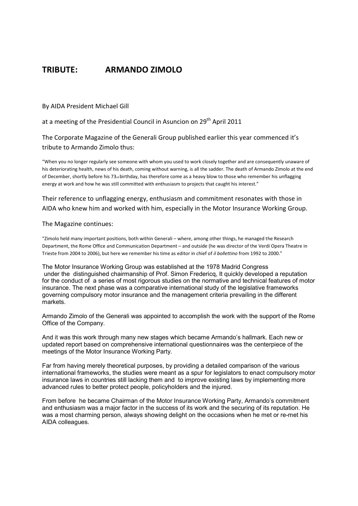## **TRIBUTE: ARMANDO ZIMOLO**

By AIDA President Michael Gill

at a meeting of the Presidential Council in Asuncion on 29<sup>th</sup> April 2011

The Corporate Magazine of the Generali Group published earlier this year commenced it's tribute to Armando Zimolo thus:

"When you no longer regularly see someone with whom you used to work closely together and are consequently unaware of his deteriorating health, news of his death, coming without warning, is all the sadder. The death of Armando Zimolo at the end of December, shortly before his 73rd birthday, has therefore come as a heavy blow to those who remember his unflagging energy at work and how he was still committed with enthusiasm to projects that caught his interest."

Their reference to unflagging energy, enthusiasm and commitment resonates with those in AIDA who knew him and worked with him, especially in the Motor Insurance Working Group.

The Magazine continues:

"Zimolo held many important positions, both within Generali – where, among other things, he managed the Research Department, the Rome Office and Communication Department – and outside (he was director of the Verdi Opera Theatre in Trieste from 2004 to 2006), but here we remember his time as editor in chief of *il bollettino* from 1992 to 2000."

The Motor Insurance Working Group was established at the 1978 Madrid Congress under the distinguished chairmanship of Prof. Simon Fredericq, It quickly developed a reputation for the conduct of a series of most rigorous studies on the normative and technical features of motor insurance. The next phase was a comparative international study of the legislative frameworks governing compulsory motor insurance and the management criteria prevailing in the different markets.

Armando Zimolo of the Generali was appointed to accomplish the work with the support of the Rome Office of the Company.

And it was this work through many new stages which became Armando's hallmark. Each new or updated report based on comprehensive international questionnaires was the centerpiece of the meetings of the Motor Insurance Working Party.

Far from having merely theoretical purposes, by providing a detailed comparison of the various international frameworks, the studies were meant as a spur for legislators to enact compulsory motor insurance laws in countries still lacking them and to improve existing laws by implementing more advanced rules to better protect people, policyholders and the injured.

From before he became Chairman of the Motor Insurance Working Party, Armando's commitment and enthusiasm was a major factor in the success of its work and the securing of its reputation. He was a most charming person, always showing delight on the occasions when he met or re-met his AIDA colleagues.